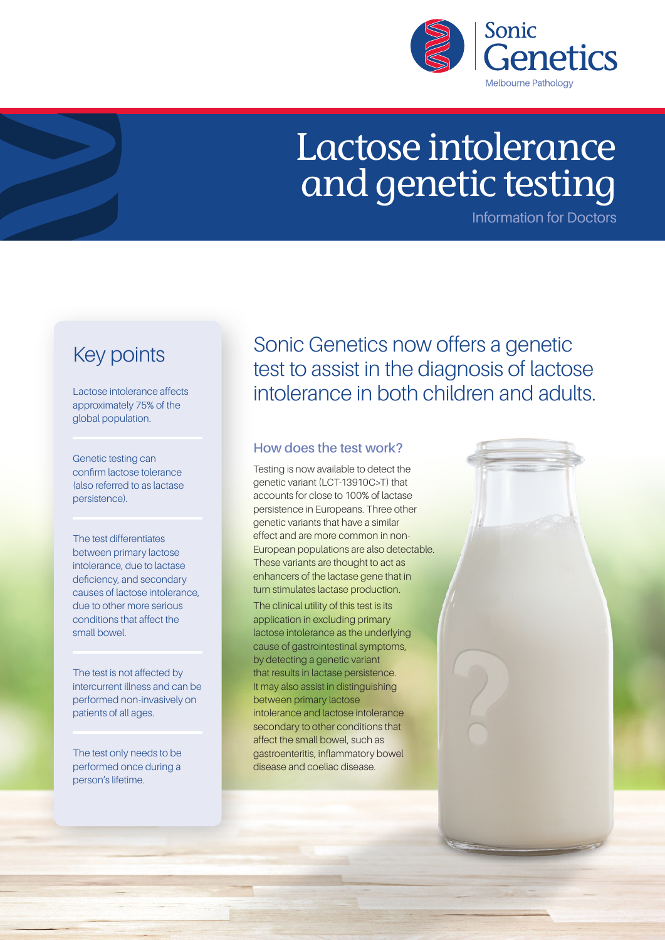

# Lactose intolerance and genetic testing

Information for Doctors

### Key points

Lactose intolerance affects approximately 75% of the global population.

Genetic testing can confirm lactose tolerance (also referred to as lactase persistence).

The test differentiates between primary lactose intolerance, due to lactase deficiency, and secondary causes of lactose intolerance, due to other more serious conditions that affect the small bowel.

The test is not affected by intercurrent illness and can be performed non-invasively on patients of all ages.

The test only needs to be performed once during a person's lifetime.

Sonic Genetics now offers a genetic test to assist in the diagnosis of lactose intolerance in both children and adults.

#### **How does the test work?**

Testing is now available to detect the genetic variant (LCT-13910C>T) that accounts for close to 100% of lactase persistence in Europeans. Three other genetic variants that have a similar effect and are more common in non-European populations are also detectable. These variants are thought to act as enhancers of the lactase gene that in turn stimulates lactase production. The clinical utility of this test is its application in excluding primary lactose intolerance as the underlying cause of gastrointestinal symptoms,

by detecting a genetic variant that results in lactase persistence. It may also assist in distinguishing between primary lactose intolerance and lactose intolerance secondary to other conditions that affect the small bowel, such as gastroenteritis, inflammatory bowel disease and coeliac disease.